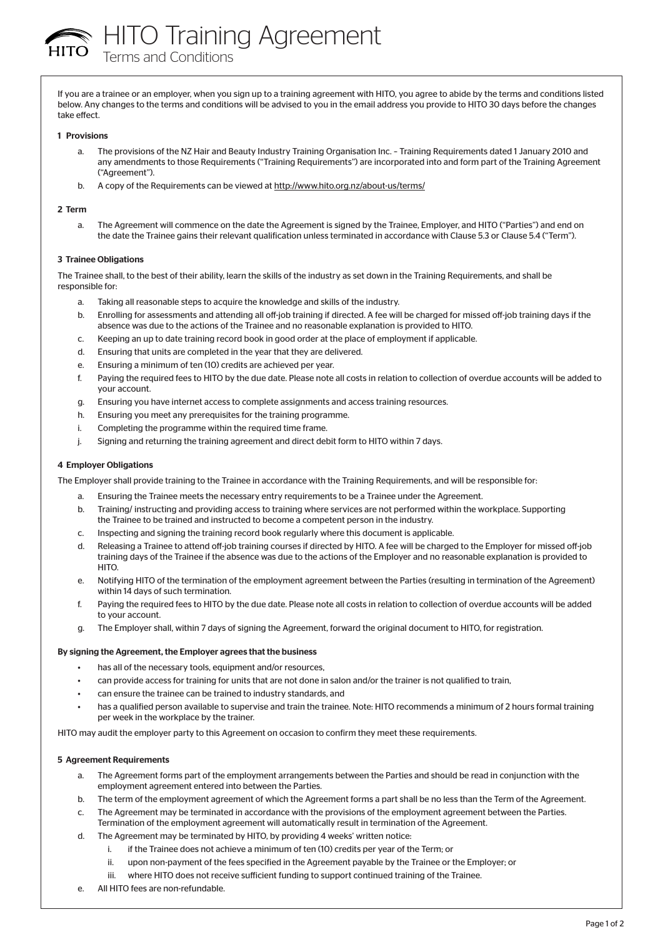HITO Training Agreement Terms and Conditions

If you are a trainee or an employer, when you sign up to a training agreement with HITO, you agree to abide by the terms and conditions listed below. Any changes to the terms and conditions will be advised to you in the email address you provide to HITO 30 days before the changes take effect.

#### 1 Provisions

- a. The provisions of the NZ Hair and Beauty Industry Training Organisation Inc. Training Requirements dated 1 January 2010 and any amendments to those Requirements ("Training Requirements") are incorporated into and form part of the Training Agreement ("Agreement").
- b. A copy of the Requirements can be viewed at http://www.hito.org.nz/about-us/terms/

#### 2 Term

a. The Agreement will commence on the date the Agreement is signed by the Trainee, Employer, and HITO ("Parties") and end on the date the Trainee gains their relevant qualification unless terminated in accordance with Clause 5.3 or Clause 5.4 ("Term").

#### 3 Trainee Obligations

The Trainee shall, to the best of their ability, learn the skills of the industry as set down in the Training Requirements, and shall be responsible for:

- a. Taking all reasonable steps to acquire the knowledge and skills of the industry.
- b. Enrolling for assessments and attending all off-job training if directed. A fee will be charged for missed off-job training days if the absence was due to the actions of the Trainee and no reasonable explanation is provided to HITO.
- c. Keeping an up to date training record book in good order at the place of employment if applicable.
- d. Ensuring that units are completed in the year that they are delivered.
- e. Ensuring a minimum of ten (10) credits are achieved per year.
- f. Paying the required fees to HITO by the due date. Please note all costs in relation to collection of overdue accounts will be added to your account.
- g. Ensuring you have internet access to complete assignments and access training resources.
- h. Ensuring you meet any prerequisites for the training programme.
- i. Completing the programme within the required time frame.
- j. Signing and returning the training agreement and direct debit form to HITO within 7 days.

#### 4 Employer Obligations

The Employer shall provide training to the Trainee in accordance with the Training Requirements, and will be responsible for:

- a. Ensuring the Trainee meets the necessary entry requirements to be a Trainee under the Agreement.
- b. Training/ instructing and providing access to training where services are not performed within the workplace. Supporting the Trainee to be trained and instructed to become a competent person in the industry.
- c. Inspecting and signing the training record book regularly where this document is applicable.
- d. Releasing a Trainee to attend off-job training courses if directed by HITO. A fee will be charged to the Employer for missed off-job training days of the Trainee if the absence was due to the actions of the Employer and no reasonable explanation is provided to HITO.
- e. Notifying HITO of the termination of the employment agreement between the Parties (resulting in termination of the Agreement) within 14 days of such termination.
- f. Paying the required fees to HITO by the due date. Please note all costs in relation to collection of overdue accounts will be added to your account.
- g. The Employer shall, within 7 days of signing the Agreement, forward the original document to HITO, for registration.

#### By signing the Agreement, the Employer agrees that the business

- has all of the necessary tools, equipment and/or resources,
- can provide access for training for units that are not done in salon and/or the trainer is not qualified to train,
- can ensure the trainee can be trained to industry standards, and
- has a qualified person available to supervise and train the trainee. Note: HITO recommends a minimum of 2 hours formal training per week in the workplace by the trainer.

HITO may audit the employer party to this Agreement on occasion to confirm they meet these requirements.

## 5 Agreement Requirements

- a. The Agreement forms part of the employment arrangements between the Parties and should be read in conjunction with the employment agreement entered into between the Parties.
- b. The term of the employment agreement of which the Agreement forms a part shall be no less than the Term of the Agreement. c. The Agreement may be terminated in accordance with the provisions of the employment agreement between the Parties.
- Termination of the employment agreement will automatically result in termination of the Agreement.
- d. The Agreement may be terminated by HITO, by providing 4 weeks' written notice:
	- i. if the Trainee does not achieve a minimum of ten (10) credits per year of the Term; or
	- ii. upon non-payment of the fees specified in the Agreement payable by the Trainee or the Employer; or
	- iii. where HITO does not receive sufficient funding to support continued training of the Trainee.
- e. All HITO fees are non-refundable.